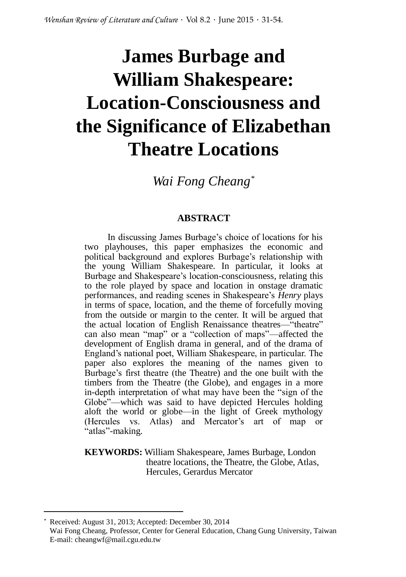# **James Burbage and William Shakespeare: Location-Consciousness and the Significance of Elizabethan Theatre Locations**

*Wai Fong Cheang\**

# **ABSTRACT**

In discussing James Burbage's choice of locations for his two playhouses, this paper emphasizes the economic and political background and explores Burbage's relationship with the young William Shakespeare. In particular, it looks at Burbage and Shakespeare's location-consciousness, relating this to the role played by space and location in onstage dramatic performances, and reading scenes in Shakespeare's *Henry* plays in terms of space, location, and the theme of forcefully moving from the outside or margin to the center. It will be argued that the actual location of English Renaissance theatres—"theatre" can also mean "map" or a "collection of maps"—affected the development of English drama in general, and of the drama of England's national poet, William Shakespeare, in particular. The paper also explores the meaning of the names given to Burbage's first theatre (the Theatre) and the one built with the timbers from the Theatre (the Globe), and engages in a more in-depth interpretation of what may have been the "sign of the Globe"—which was said to have depicted Hercules holding aloft the world or globe—in the light of Greek mythology (Hercules vs. Atlas) and Mercator's art of map or "atlas"-making.

**KEYWORDS:** William Shakespeare, James Burbage, London theatre locations, the Theatre, the Globe, Atlas, Hercules, Gerardus Mercator

Received: August 31, 2013; Accepted: December 30, 2014

Wai Fong Cheang, Professor, Center for General Education, Chang Gung University, Taiwan E-mail: cheangwf@mail.cgu.edu.tw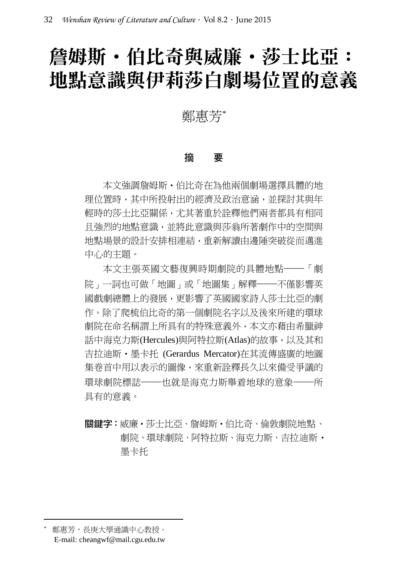# 詹姆斯•伯比奇與威廉•莎士比亞: 地點意識與伊莉莎白劇場位置的意義

鄭惠芳\*

#### 摘 要

本文強調詹姆斯•伯比奇在為他兩個劇場選擇具體的地 理位置時,其中所投射出的經濟及政治意涵,並探討其與年 輕時的莎士比亞關係,尤其著重於詮釋他們兩者都具有相同 且強烈的地點意識,並將此意識與莎翁所著劇作中的空間與 地點場景的設計安排相連結,重新解讀由邊陲突破從而邁進 中心的主題。

本文主張英國文藝復興時期劇院的具體地點──「劇 院」一詞也可做「地圖」或「地圖集」解釋──不僅影響英 國戲劇總體上的發展,更影響了英國國家詩人莎士比亞的劇 作。除了爬梳伯比奇的第一個劇院名字以及後來所建的環球 劇院在命名稱謂上所具有的特殊意義外,本文亦藉由希臘神 話中海克力斯(Hercules)與阿特拉斯(Atlas)的故事,以及其和 吉拉迪斯•墨卡托 (Gerardus Mercator)在其流傳盛廣的地圖 集卷首中用以表示的圖像,來重新詮釋長久以來備受爭議的 環球劇院標誌──也就是海克力斯舉着地球的意象──所 具有的意義。

關鍵字:威廉•莎士比亞、詹姆斯•伯比奇、倫敦劇院地點、 劇院、環球劇院、阿特拉斯、海克力斯、吉拉迪斯• 墨卡托

\* 鄭惠芳,長庚大學通識中心教授。 E-mail: cheangwf@mail.cgu.edu.tw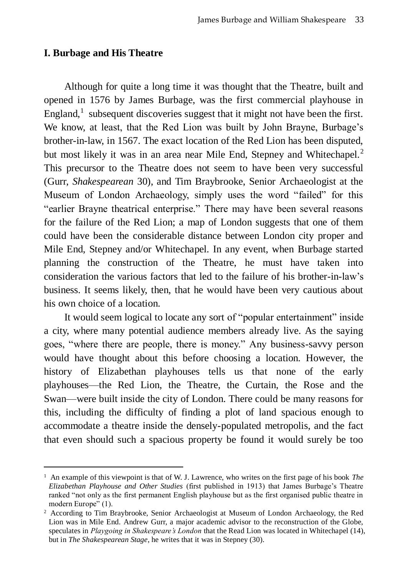#### **I. Burbage and His Theatre**

-

Although for quite a long time it was thought that the Theatre, built and opened in 1576 by James Burbage, was the first commercial playhouse in England, $<sup>1</sup>$  subsequent discoveries suggest that it might not have been the first.</sup> We know, at least, that the Red Lion was built by John Brayne, Burbage's brother-in-law, in 1567. The exact location of the Red Lion has been disputed, but most likely it was in an area near Mile End, Stepney and Whitechapel.<sup>2</sup> This precursor to the Theatre does not seem to have been very successful (Gurr, *Shakespearean* 30), and Tim Braybrooke, Senior Archaeologist at the Museum of London Archaeology, simply uses the word "failed" for this "earlier Brayne theatrical enterprise." There may have been several reasons for the failure of the Red Lion; a map of London suggests that one of them could have been the considerable distance between London city proper and Mile End, Stepney and/or Whitechapel. In any event, when Burbage started planning the construction of the Theatre, he must have taken into consideration the various factors that led to the failure of his brother-in-law's business. It seems likely, then, that he would have been very cautious about his own choice of a location.

It would seem logical to locate any sort of "popular entertainment" inside a city, where many potential audience members already live. As the saying goes, "where there are people, there is money." Any business-savvy person would have thought about this before choosing a location. However, the history of Elizabethan playhouses tells us that none of the early playhouses—the Red Lion, the Theatre, the Curtain, the Rose and the Swan—were built inside the city of London. There could be many reasons for this, including the difficulty of finding a plot of land spacious enough to accommodate a theatre inside the densely-populated metropolis, and the fact that even should such a spacious property be found it would surely be too

<sup>1</sup> An example of this viewpoint is that of W. J. Lawrence, who writes on the first page of his book *The Elizabethan Playhouse and Other Studies* (first published in 1913) that James Burbage's Theatre ranked "not only as the first permanent English playhouse but as the first organised public theatre in modern Europe" (1).

<sup>2</sup> According to Tim Braybrooke, Senior Archaeologist at Museum of London Archaeology, the Red Lion was in Mile End. Andrew Gurr, a major academic advisor to the reconstruction of the Globe, speculates in *Playgoing in Shakespeare's London* that the Read Lion was located in Whitechapel (14), but in *The Shakespearean Stage*, he writes that it was in Stepney (30).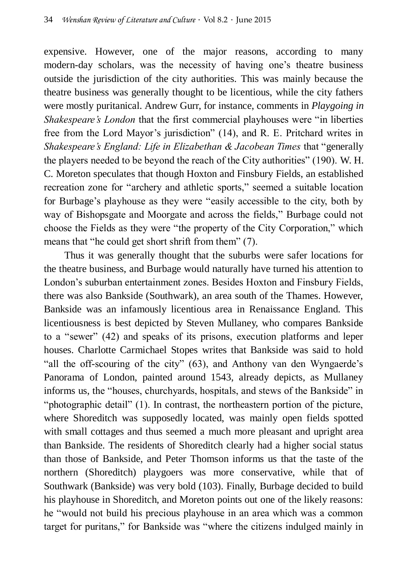expensive. However, one of the major reasons, according to many modern-day scholars, was the necessity of having one's theatre business outside the jurisdiction of the city authorities. This was mainly because the theatre business was generally thought to be licentious, while the city fathers were mostly puritanical. Andrew Gurr, for instance, comments in *Playgoing in Shakespeare's London* that the first commercial playhouses were "in liberties free from the Lord Mayor's jurisdiction" (14), and R. E. Pritchard writes in *Shakespeare's England: Life in Elizabethan & Jacobean Times* that "generally the players needed to be beyond the reach of the City authorities" (190). W. H. C. Moreton speculates that though Hoxton and Finsbury Fields, an established recreation zone for "archery and athletic sports," seemed a suitable location for Burbage's playhouse as they were "easily accessible to the city, both by way of Bishopsgate and Moorgate and across the fields," Burbage could not choose the Fields as they were "the property of the City Corporation," which means that "he could get short shrift from them" (7).

Thus it was generally thought that the suburbs were safer locations for the theatre business, and Burbage would naturally have turned his attention to London's suburban entertainment zones. Besides Hoxton and Finsbury Fields, there was also Bankside (Southwark), an area south of the Thames. However, Bankside was an infamously licentious area in Renaissance England. This licentiousness is best depicted by Steven Mullaney, who compares Bankside to a "sewer" (42) and speaks of its prisons, execution platforms and leper houses. Charlotte Carmichael Stopes writes that Bankside was said to hold "all the off-scouring of the city" (63), and Anthony van den Wyngaerde's Panorama of London, painted around 1543, already depicts, as Mullaney informs us, the "houses, churchyards, hospitals, and stews of the Bankside" in "photographic detail" (1). In contrast, the northeastern portion of the picture, where Shoreditch was supposedly located, was mainly open fields spotted with small cottages and thus seemed a much more pleasant and upright area than Bankside. The residents of Shoreditch clearly had a higher social status than those of Bankside, and Peter Thomson informs us that the taste of the northern (Shoreditch) playgoers was more conservative, while that of Southwark (Bankside) was very bold (103). Finally, Burbage decided to build his playhouse in Shoreditch, and Moreton points out one of the likely reasons: he "would not build his precious playhouse in an area which was a common target for puritans," for Bankside was "where the citizens indulged mainly in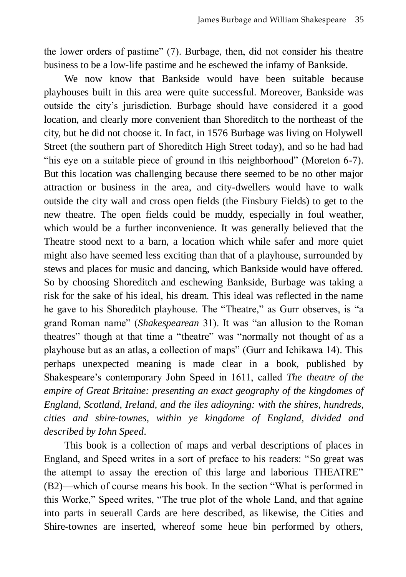the lower orders of pastime" (7). Burbage, then, did not consider his theatre business to be a low-life pastime and he eschewed the infamy of Bankside.

We now know that Bankside would have been suitable because playhouses built in this area were quite successful. Moreover, Bankside was outside the city's jurisdiction. Burbage should have considered it a good location, and clearly more convenient than Shoreditch to the northeast of the city, but he did not choose it. In fact, in 1576 Burbage was living on Holywell Street (the southern part of Shoreditch High Street today), and so he had had "his eye on a suitable piece of ground in this neighborhood" (Moreton 6-7). But this location was challenging because there seemed to be no other major attraction or business in the area, and city-dwellers would have to walk outside the city wall and cross open fields (the Finsbury Fields) to get to the new theatre. The open fields could be muddy, especially in foul weather, which would be a further inconvenience. It was generally believed that the Theatre stood next to a barn, a location which while safer and more quiet might also have seemed less exciting than that of a playhouse, surrounded by stews and places for music and dancing, which Bankside would have offered. So by choosing Shoreditch and eschewing Bankside, Burbage was taking a risk for the sake of his ideal, his dream. This ideal was reflected in the name he gave to his Shoreditch playhouse. The "Theatre," as Gurr observes, is "a grand Roman name" (*Shakespearean* 31). It was "an allusion to the Roman theatres" though at that time a "theatre" was "normally not thought of as a playhouse but as an atlas, a collection of maps" (Gurr and Ichikawa 14). This perhaps unexpected meaning is made clear in a book, published by Shakespeare's contemporary John Speed in 1611, called *The theatre of the empire of Great Britaine: presenting an exact geography of the kingdomes of England, Scotland, Ireland, and the iles adioyning: with the shires, hundreds, cities and shire-townes, within ye kingdome of England, divided and described by Iohn Speed*.

This book is a collection of maps and verbal descriptions of places in England, and Speed writes in a sort of preface to his readers: "So great was the attempt to assay the erection of this large and laborious THEATRE" (B2)—which of course means his book. In the section "What is performed in this Worke," Speed writes, "The true plot of the whole Land, and that againe into parts in seuerall Cards are here described, as likewise, the Cities and Shire-townes are inserted, whereof some heue bin performed by others,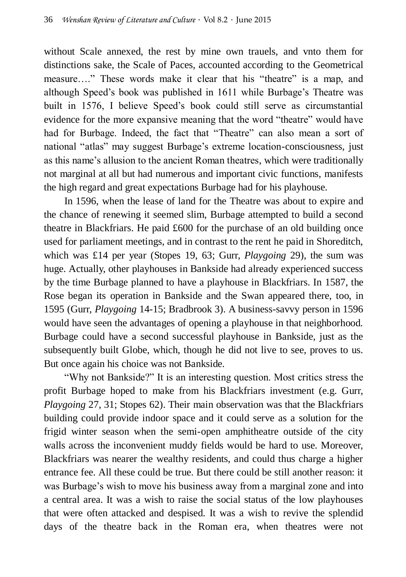without Scale annexed, the rest by mine own trauels, and vnto them for distinctions sake, the Scale of Paces, accounted according to the Geometrical measure…." These words make it clear that his "theatre" is a map, and although Speed's book was published in 1611 while Burbage's Theatre was built in 1576, I believe Speed's book could still serve as circumstantial evidence for the more expansive meaning that the word "theatre" would have had for Burbage. Indeed, the fact that "Theatre" can also mean a sort of national "atlas" may suggest Burbage's extreme location-consciousness, just as this name's allusion to the ancient Roman theatres, which were traditionally not marginal at all but had numerous and important civic functions, manifests the high regard and great expectations Burbage had for his playhouse.

In 1596, when the lease of land for the Theatre was about to expire and the chance of renewing it seemed slim, Burbage attempted to build a second theatre in Blackfriars. He paid £600 for the purchase of an old building once used for parliament meetings, and in contrast to the rent he paid in Shoreditch, which was £14 per year (Stopes 19, 63; Gurr, *Playgoing* 29), the sum was huge. Actually, other playhouses in Bankside had already experienced success by the time Burbage planned to have a playhouse in Blackfriars. In 1587, the Rose began its operation in Bankside and the Swan appeared there, too, in 1595 (Gurr, *Playgoing* 14-15; Bradbrook 3). A business-savvy person in 1596 would have seen the advantages of opening a playhouse in that neighborhood. Burbage could have a second successful playhouse in Bankside, just as the subsequently built Globe, which, though he did not live to see, proves to us. But once again his choice was not Bankside.

"Why not Bankside?" It is an interesting question. Most critics stress the profit Burbage hoped to make from his Blackfriars investment (e.g. Gurr, *Playgoing* 27, 31; Stopes 62). Their main observation was that the Blackfriars building could provide indoor space and it could serve as a solution for the frigid winter season when the semi-open amphitheatre outside of the city walls across the inconvenient muddy fields would be hard to use. Moreover, Blackfriars was nearer the wealthy residents, and could thus charge a higher entrance fee. All these could be true. But there could be still another reason: it was Burbage's wish to move his business away from a marginal zone and into a central area. It was a wish to raise the social status of the low playhouses that were often attacked and despised. It was a wish to revive the splendid days of the theatre back in the Roman era, when theatres were not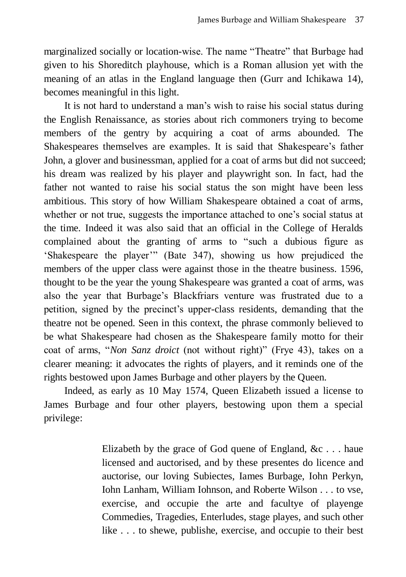marginalized socially or location-wise. The name "Theatre" that Burbage had given to his Shoreditch playhouse, which is a Roman allusion yet with the meaning of an atlas in the England language then (Gurr and Ichikawa 14), becomes meaningful in this light.

It is not hard to understand a man's wish to raise his social status during the English Renaissance, as stories about rich commoners trying to become members of the gentry by acquiring a coat of arms abounded. The Shakespeares themselves are examples. It is said that Shakespeare's father John, a glover and businessman, applied for a coat of arms but did not succeed; his dream was realized by his player and playwright son. In fact, had the father not wanted to raise his social status the son might have been less ambitious. This story of how William Shakespeare obtained a coat of arms, whether or not true, suggests the importance attached to one's social status at the time. Indeed it was also said that an official in the College of Heralds complained about the granting of arms to "such a dubious figure as 'Shakespeare the player'" (Bate 347), showing us how prejudiced the members of the upper class were against those in the theatre business, 1596, thought to be the year the young Shakespeare was granted a coat of arms, was also the year that Burbage's Blackfriars venture was frustrated due to a petition, signed by the precinct's upper-class residents, demanding that the theatre not be opened. Seen in this context, the phrase commonly believed to be what Shakespeare had chosen as the Shakespeare family motto for their coat of arms, "*Non Sanz droict* (not without right)" (Frye 43), takes on a clearer meaning: it advocates the rights of players, and it reminds one of the rights bestowed upon James Burbage and other players by the Queen.

Indeed, as early as 10 May 1574, Queen Elizabeth issued a license to James Burbage and four other players, bestowing upon them a special privilege:

> Elizabeth by the grace of God quene of England, &c . . . haue licensed and auctorised, and by these presentes do licence and auctorise, our loving Subiectes, Iames Burbage, Iohn Perkyn, Iohn Lanham, William Iohnson, and Roberte Wilson . . . to vse, exercise, and occupie the arte and facultye of playenge Commedies, Tragedies, Enterludes, stage playes, and such other like . . . to shewe, publishe, exercise, and occupie to their best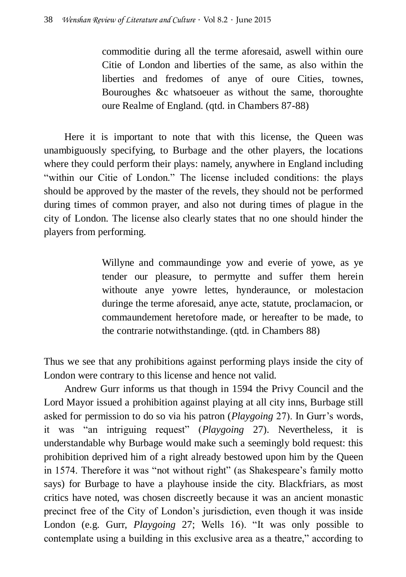commoditie during all the terme aforesaid, aswell within oure Citie of London and liberties of the same, as also within the liberties and fredomes of anye of oure Cities, townes, Bouroughes &c whatsoeuer as without the same, thoroughte oure Realme of England. (qtd. in Chambers 87-88)

Here it is important to note that with this license, the Queen was unambiguously specifying, to Burbage and the other players, the locations where they could perform their plays: namely, anywhere in England including "within our Citie of London." The license included conditions: the plays should be approved by the master of the revels, they should not be performed during times of common prayer, and also not during times of plague in the city of London. The license also clearly states that no one should hinder the players from performing.

> Willyne and commaundinge yow and everie of yowe, as ye tender our pleasure, to permytte and suffer them herein withoute anye yowre lettes, hynderaunce, or molestacion duringe the terme aforesaid, anye acte, statute, proclamacion, or commaundement heretofore made, or hereafter to be made, to the contrarie notwithstandinge. (qtd. in Chambers 88)

Thus we see that any prohibitions against performing plays inside the city of London were contrary to this license and hence not valid.

Andrew Gurr informs us that though in 1594 the Privy Council and the Lord Mayor issued a prohibition against playing at all city inns, Burbage still asked for permission to do so via his patron (*Playgoing* 27). In Gurr's words, it was "an intriguing request" (*Playgoing* 27). Nevertheless, it is understandable why Burbage would make such a seemingly bold request: this prohibition deprived him of a right already bestowed upon him by the Queen in 1574. Therefore it was "not without right" (as Shakespeare's family motto says) for Burbage to have a playhouse inside the city. Blackfriars, as most critics have noted, was chosen discreetly because it was an ancient monastic precinct free of the City of London's jurisdiction, even though it was inside London (e.g. Gurr, *Playgoing* 27; Wells 16). "It was only possible to contemplate using a building in this exclusive area as a theatre," according to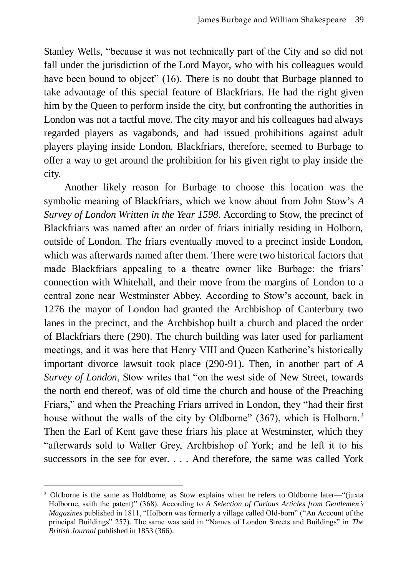Stanley Wells, "because it was not technically part of the City and so did not fall under the jurisdiction of the Lord Mayor, who with his colleagues would have been bound to object" (16). There is no doubt that Burbage planned to take advantage of this special feature of Blackfriars. He had the right given him by the Queen to perform inside the city, but confronting the authorities in London was not a tactful move. The city mayor and his colleagues had always regarded players as vagabonds, and had issued prohibitions against adult players playing inside London. Blackfriars, therefore, seemed to Burbage to offer a way to get around the prohibition for his given right to play inside the city.

Another likely reason for Burbage to choose this location was the symbolic meaning of Blackfriars, which we know about from John Stow's *A Survey of London Written in the Year 1598*. According to Stow, the precinct of Blackfriars was named after an order of friars initially residing in Holborn, outside of London. The friars eventually moved to a precinct inside London, which was afterwards named after them. There were two historical factors that made Blackfriars appealing to a theatre owner like Burbage: the friars' connection with Whitehall, and their move from the margins of London to a central zone near Westminster Abbey. According to Stow's account, back in 1276 the mayor of London had granted the Archbishop of Canterbury two lanes in the precinct, and the Archbishop built a church and placed the order of Blackfriars there (290). The church building was later used for parliament meetings, and it was here that Henry VIII and Queen Katherine's historically important divorce lawsuit took place (290-91). Then, in another part of *A Survey of London*, Stow writes that "on the west side of New Street, towards the north end thereof, was of old time the church and house of the Preaching Friars," and when the Preaching Friars arrived in London, they "had their first house without the walls of the city by Oldborne" (367), which is Holborn.<sup>3</sup> Then the Earl of Kent gave these friars his place at Westminster, which they "afterwards sold to Walter Grey, Archbishop of York; and he left it to his successors in the see for ever. . . . And therefore, the same was called York

-

<sup>&</sup>lt;sup>3</sup> Oldborne is the same as Holdborne, as Stow explains when he refers to Oldborne later—"(juxta Holborne, saith the patent)" (368). According to *A Selection of Curious Articles from Gentlemen's Magazines* published in 1811, "Holborn was formerly a village called Old-born" ("An Account of the principal Buildings" 257). The same was said in "Names of London Streets and Buildings" in *The British Journal* published in 1853 (366).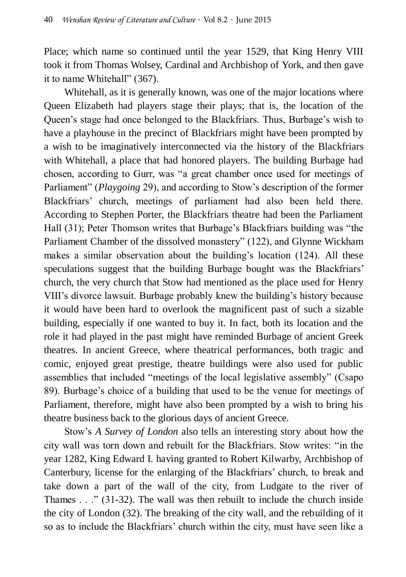Place; which name so continued until the year 1529, that King Henry VIII took it from Thomas Wolsey, Cardinal and Archbishop of York, and then gave it to name Whitehall" (367).

Whitehall, as it is generally known, was one of the major locations where Queen Elizabeth had players stage their plays; that is, the location of the Queen's stage had once belonged to the Blackfriars. Thus, Burbage's wish to have a playhouse in the precinct of Blackfriars might have been prompted by a wish to be imaginatively interconnected via the history of the Blackfriars with Whitehall, a place that had honored players. The building Burbage had chosen, according to Gurr, was "a great chamber once used for meetings of Parliament" (*Playgoing* 29), and according to Stow's description of the former Blackfriars' church, meetings of parliament had also been held there. According to Stephen Porter, the Blackfriars theatre had been the Parliament Hall (31); Peter Thomson writes that Burbage's Blackfriars building was "the Parliament Chamber of the dissolved monastery" (122), and Glynne Wickham makes a similar observation about the building's location (124). All these speculations suggest that the building Burbage bought was the Blackfriars' church, the very church that Stow had mentioned as the place used for Henry VIII's divorce lawsuit. Burbage probably knew the building's history because it would have been hard to overlook the magnificent past of such a sizable building, especially if one wanted to buy it. In fact, both its location and the role it had played in the past might have reminded Burbage of ancient Greek theatres. In ancient Greece, where theatrical performances, both tragic and comic, enjoyed great prestige, theatre buildings were also used for public assemblies that included "meetings of the local legislative assembly" (Csapo 89). Burbage's choice of a building that used to be the venue for meetings of Parliament, therefore, might have also been prompted by a wish to bring his theatre business back to the glorious days of ancient Greece.

Stow's *A Survey of London* also tells an interesting story about how the city wall was torn down and rebuilt for the Blackfriars. Stow writes: "in the year 1282, King Edward I. having granted to Robert Kilwarby, Archbishop of Canterbury, license for the enlarging of the Blackfriars' church, to break and take down a part of the wall of the city, from Ludgate to the river of Thames . . ." (31-32). The wall was then rebuilt to include the church inside the city of London (32). The breaking of the city wall, and the rebuilding of it so as to include the Blackfriars' church within the city, must have seen like a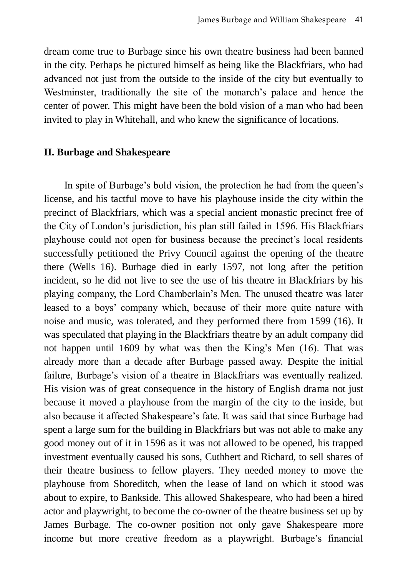dream come true to Burbage since his own theatre business had been banned in the city. Perhaps he pictured himself as being like the Blackfriars, who had advanced not just from the outside to the inside of the city but eventually to Westminster, traditionally the site of the monarch's palace and hence the center of power. This might have been the bold vision of a man who had been invited to play in Whitehall, and who knew the significance of locations.

## **II. Burbage and Shakespeare**

In spite of Burbage's bold vision, the protection he had from the queen's license, and his tactful move to have his playhouse inside the city within the precinct of Blackfriars, which was a special ancient monastic precinct free of the City of London's jurisdiction, his plan still failed in 1596. His Blackfriars playhouse could not open for business because the precinct's local residents successfully petitioned the Privy Council against the opening of the theatre there (Wells 16). Burbage died in early 1597, not long after the petition incident, so he did not live to see the use of his theatre in Blackfriars by his playing company, the Lord Chamberlain's Men. The unused theatre was later leased to a boys' company which, because of their more quite nature with noise and music, was tolerated, and they performed there from 1599 (16). It was speculated that playing in the Blackfriars theatre by an adult company did not happen until 1609 by what was then the King's Men (16). That was already more than a decade after Burbage passed away. Despite the initial failure, Burbage's vision of a theatre in Blackfriars was eventually realized. His vision was of great consequence in the history of English drama not just because it moved a playhouse from the margin of the city to the inside, but also because it affected Shakespeare's fate. It was said that since Burbage had spent a large sum for the building in Blackfriars but was not able to make any good money out of it in 1596 as it was not allowed to be opened, his trapped investment eventually caused his sons, Cuthbert and Richard, to sell shares of their theatre business to fellow players. They needed money to move the playhouse from Shoreditch, when the lease of land on which it stood was about to expire, to Bankside. This allowed Shakespeare, who had been a hired actor and playwright, to become the co-owner of the theatre business set up by James Burbage. The co-owner position not only gave Shakespeare more income but more creative freedom as a playwright. Burbage's financial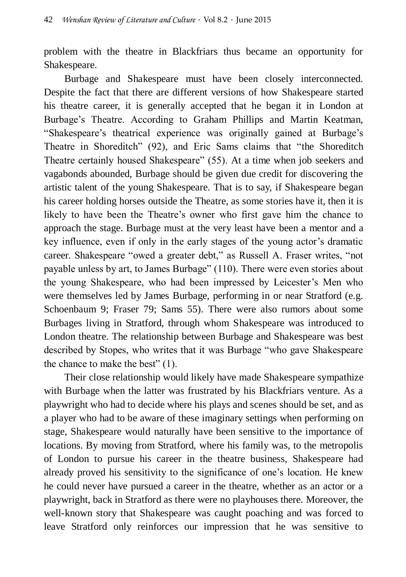problem with the theatre in Blackfriars thus became an opportunity for Shakespeare.

Burbage and Shakespeare must have been closely interconnected. Despite the fact that there are different versions of how Shakespeare started his theatre career, it is generally accepted that he began it in London at Burbage's Theatre. According to Graham Phillips and Martin Keatman, "Shakespeare's theatrical experience was originally gained at Burbage's Theatre in Shoreditch" (92), and Eric Sams claims that "the Shoreditch Theatre certainly housed Shakespeare" (55). At a time when job seekers and vagabonds abounded, Burbage should be given due credit for discovering the artistic talent of the young Shakespeare. That is to say, if Shakespeare began his career holding horses outside the Theatre, as some stories have it, then it is likely to have been the Theatre's owner who first gave him the chance to approach the stage. Burbage must at the very least have been a mentor and a key influence, even if only in the early stages of the young actor's dramatic career. Shakespeare "owed a greater debt," as Russell A. Fraser writes, "not payable unless by art, to James Burbage" (110). There were even stories about the young Shakespeare, who had been impressed by Leicester's Men who were themselves led by James Burbage, performing in or near Stratford (e.g. Schoenbaum 9; Fraser 79; Sams 55). There were also rumors about some Burbages living in Stratford, through whom Shakespeare was introduced to London theatre. The relationship between Burbage and Shakespeare was best described by Stopes, who writes that it was Burbage "who gave Shakespeare the chance to make the best" (1).

Their close relationship would likely have made Shakespeare sympathize with Burbage when the latter was frustrated by his Blackfriars venture. As a playwright who had to decide where his plays and scenes should be set, and as a player who had to be aware of these imaginary settings when performing on stage, Shakespeare would naturally have been sensitive to the importance of locations. By moving from Stratford, where his family was, to the metropolis of London to pursue his career in the theatre business, Shakespeare had already proved his sensitivity to the significance of one's location. He knew he could never have pursued a career in the theatre, whether as an actor or a playwright, back in Stratford as there were no playhouses there. Moreover, the well-known story that Shakespeare was caught poaching and was forced to leave Stratford only reinforces our impression that he was sensitive to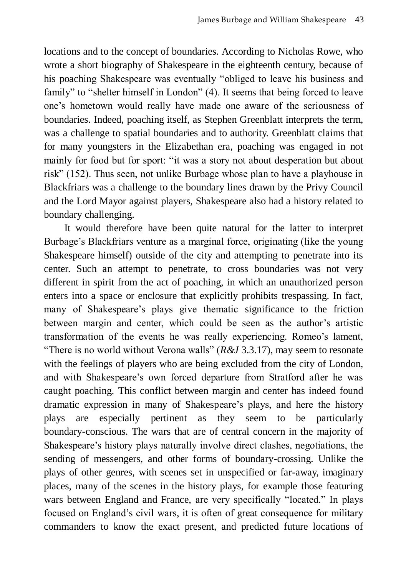locations and to the concept of boundaries. According to Nicholas Rowe, who wrote a short biography of Shakespeare in the eighteenth century, because of his poaching Shakespeare was eventually "obliged to leave his business and family" to "shelter himself in London" (4). It seems that being forced to leave one's hometown would really have made one aware of the seriousness of boundaries. Indeed, poaching itself, as Stephen Greenblatt interprets the term, was a challenge to spatial boundaries and to authority. Greenblatt claims that for many youngsters in the Elizabethan era, poaching was engaged in not mainly for food but for sport: "it was a story not about desperation but about risk" (152). Thus seen, not unlike Burbage whose plan to have a playhouse in Blackfriars was a challenge to the boundary lines drawn by the Privy Council and the Lord Mayor against players, Shakespeare also had a history related to boundary challenging.

It would therefore have been quite natural for the latter to interpret Burbage's Blackfriars venture as a marginal force, originating (like the young Shakespeare himself) outside of the city and attempting to penetrate into its center. Such an attempt to penetrate, to cross boundaries was not very different in spirit from the act of poaching, in which an unauthorized person enters into a space or enclosure that explicitly prohibits trespassing. In fact, many of Shakespeare's plays give thematic significance to the friction between margin and center, which could be seen as the author's artistic transformation of the events he was really experiencing. Romeo's lament, "There is no world without Verona walls" (*R&J* 3.3.17), may seem to resonate with the feelings of players who are being excluded from the city of London, and with Shakespeare's own forced departure from Stratford after he was caught poaching. This conflict between margin and center has indeed found dramatic expression in many of Shakespeare's plays, and here the history plays are especially pertinent as they seem to be particularly boundary-conscious. The wars that are of central concern in the majority of Shakespeare's history plays naturally involve direct clashes, negotiations, the sending of messengers, and other forms of boundary-crossing. Unlike the plays of other genres, with scenes set in unspecified or far-away, imaginary places, many of the scenes in the history plays, for example those featuring wars between England and France, are very specifically "located." In plays focused on England's civil wars, it is often of great consequence for military commanders to know the exact present, and predicted future locations of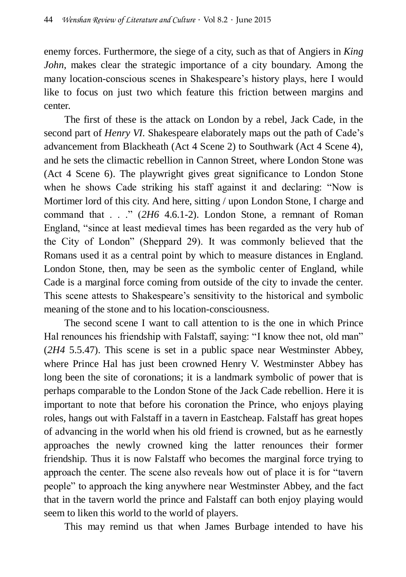enemy forces. Furthermore, the siege of a city, such as that of Angiers in *King John*, makes clear the strategic importance of a city boundary. Among the many location-conscious scenes in Shakespeare's history plays, here I would like to focus on just two which feature this friction between margins and center.

The first of these is the attack on London by a rebel, Jack Cade, in the second part of *Henry VI.* Shakespeare elaborately maps out the path of Cade's advancement from Blackheath (Act 4 Scene 2) to Southwark (Act 4 Scene 4), and he sets the climactic rebellion in Cannon Street, where London Stone was (Act 4 Scene 6). The playwright gives great significance to London Stone when he shows Cade striking his staff against it and declaring: "Now is Mortimer lord of this city. And here, sitting / upon London Stone, I charge and command that . . ." (*2H6* 4.6.1-2). London Stone, a remnant of Roman England, "since at least medieval times has been regarded as the very hub of the City of London" (Sheppard 29). It was commonly believed that the Romans used it as a central point by which to measure distances in England. London Stone, then, may be seen as the symbolic center of England, while Cade is a marginal force coming from outside of the city to invade the center. This scene attests to Shakespeare's sensitivity to the historical and symbolic meaning of the stone and to his location-consciousness.

The second scene I want to call attention to is the one in which Prince Hal renounces his friendship with Falstaff, saying: "I know thee not, old man" (*2H4* 5.5.47). This scene is set in a public space near Westminster Abbey, where Prince Hal has just been crowned Henry V. Westminster Abbey has long been the site of coronations; it is a landmark symbolic of power that is perhaps comparable to the London Stone of the Jack Cade rebellion. Here it is important to note that before his coronation the Prince, who enjoys playing roles, hangs out with Falstaff in a tavern in Eastcheap. Falstaff has great hopes of advancing in the world when his old friend is crowned, but as he earnestly approaches the newly crowned king the latter renounces their former friendship. Thus it is now Falstaff who becomes the marginal force trying to approach the center. The scene also reveals how out of place it is for "tavern people" to approach the king anywhere near Westminster Abbey, and the fact that in the tavern world the prince and Falstaff can both enjoy playing would seem to liken this world to the world of players.

This may remind us that when James Burbage intended to have his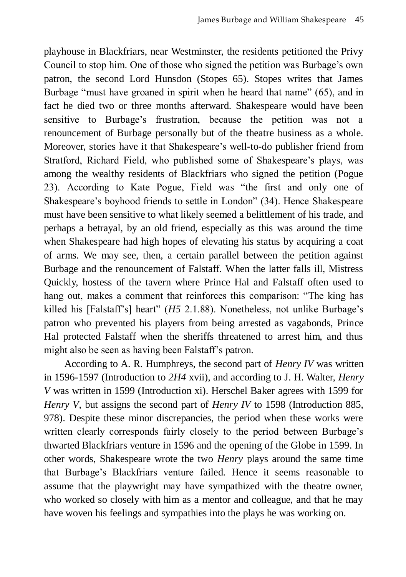playhouse in Blackfriars, near Westminster, the residents petitioned the Privy Council to stop him. One of those who signed the petition was Burbage's own patron, the second Lord Hunsdon (Stopes 65). Stopes writes that James Burbage "must have groaned in spirit when he heard that name" (65), and in fact he died two or three months afterward. Shakespeare would have been sensitive to Burbage's frustration, because the petition was not a renouncement of Burbage personally but of the theatre business as a whole. Moreover, stories have it that Shakespeare's well-to-do publisher friend from Stratford, Richard Field, who published some of Shakespeare's plays, was among the wealthy residents of Blackfriars who signed the petition (Pogue 23). According to Kate Pogue, Field was "the first and only one of Shakespeare's boyhood friends to settle in London" (34). Hence Shakespeare must have been sensitive to what likely seemed a belittlement of his trade, and perhaps a betrayal, by an old friend, especially as this was around the time when Shakespeare had high hopes of elevating his status by acquiring a coat of arms. We may see, then, a certain parallel between the petition against Burbage and the renouncement of Falstaff. When the latter falls ill, Mistress Quickly, hostess of the tavern where Prince Hal and Falstaff often used to hang out, makes a comment that reinforces this comparison: "The king has killed his [Falstaff's] heart" (*H5* 2.1.88). Nonetheless, not unlike Burbage's patron who prevented his players from being arrested as vagabonds, Prince Hal protected Falstaff when the sheriffs threatened to arrest him, and thus might also be seen as having been Falstaff's patron.

According to A. R. Humphreys, the second part of *Henry IV* was written in 1596-1597 (Introduction to *2H4* xvii), and according to J. H. Walter, *Henry V* was written in 1599 (Introduction xi). Herschel Baker agrees with 1599 for *Henry V*, but assigns the second part of *Henry IV* to 1598 (Introduction 885, 978). Despite these minor discrepancies, the period when these works were written clearly corresponds fairly closely to the period between Burbage's thwarted Blackfriars venture in 1596 and the opening of the Globe in 1599. In other words, Shakespeare wrote the two *Henry* plays around the same time that Burbage's Blackfriars venture failed. Hence it seems reasonable to assume that the playwright may have sympathized with the theatre owner, who worked so closely with him as a mentor and colleague, and that he may have woven his feelings and sympathies into the plays he was working on.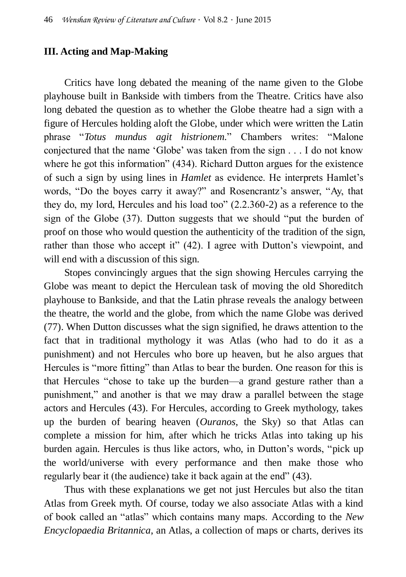# **III. Acting and Map-Making**

Critics have long debated the meaning of the name given to the Globe playhouse built in Bankside with timbers from the Theatre. Critics have also long debated the question as to whether the Globe theatre had a sign with a figure of Hercules holding aloft the Globe, under which were written the Latin phrase "*Totus mundus agit histrionem.*" Chambers writes: "Malone conjectured that the name 'Globe' was taken from the sign . . . I do not know where he got this information" (434). Richard Dutton argues for the existence of such a sign by using lines in *Hamlet* as evidence. He interprets Hamlet's words, "Do the boyes carry it away?" and Rosencrantz's answer, "Ay, that they do, my lord, Hercules and his load too" (2.2.360-2) as a reference to the sign of the Globe (37). Dutton suggests that we should "put the burden of proof on those who would question the authenticity of the tradition of the sign, rather than those who accept it" (42). I agree with Dutton's viewpoint, and will end with a discussion of this sign.

Stopes convincingly argues that the sign showing Hercules carrying the Globe was meant to depict the Herculean task of moving the old Shoreditch playhouse to Bankside, and that the Latin phrase reveals the analogy between the theatre, the world and the globe, from which the name Globe was derived (77). When Dutton discusses what the sign signified, he draws attention to the fact that in traditional mythology it was Atlas (who had to do it as a punishment) and not Hercules who bore up heaven, but he also argues that Hercules is "more fitting" than Atlas to bear the burden. One reason for this is that Hercules "chose to take up the burden—a grand gesture rather than a punishment," and another is that we may draw a parallel between the stage actors and Hercules (43). For Hercules, according to Greek mythology, takes up the burden of bearing heaven (*Ouranos*, the Sky) so that Atlas can complete a mission for him, after which he tricks Atlas into taking up his burden again. Hercules is thus like actors, who, in Dutton's words, "pick up the world/universe with every performance and then make those who regularly bear it (the audience) take it back again at the end" (43).

Thus with these explanations we get not just Hercules but also the titan Atlas from Greek myth. Of course, today we also associate Atlas with a kind of book called an "atlas" which contains many maps. According to the *New Encyclopaedia Britannica*, an Atlas, a collection of maps or charts, derives its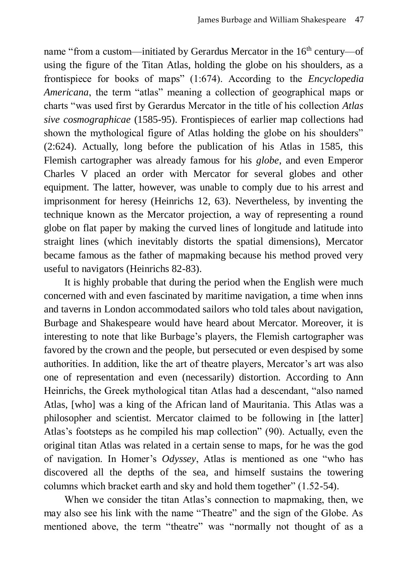name "from a custom—initiated by Gerardus Mercator in the 16<sup>th</sup> century—of using the figure of the Titan Atlas, holding the globe on his shoulders, as a frontispiece for books of maps" (1:674). According to the *Encyclopedia Americana*, the term "atlas" meaning a collection of geographical maps or charts "was used first by Gerardus Mercator in the title of his collection *Atlas sive cosmographicae* (1585-95). Frontispieces of earlier map collections had shown the mythological figure of Atlas holding the globe on his shoulders" (2:624). Actually, long before the publication of his Atlas in 1585, this Flemish cartographer was already famous for his *globe*, and even Emperor Charles V placed an order with Mercator for several globes and other equipment. The latter, however, was unable to comply due to his arrest and imprisonment for heresy (Heinrichs 12, 63). Nevertheless, by inventing the technique known as the Mercator projection, a way of representing a round globe on flat paper by making the curved lines of longitude and latitude into straight lines (which inevitably distorts the spatial dimensions), Mercator became famous as the father of mapmaking because his method proved very useful to navigators (Heinrichs 82-83).

It is highly probable that during the period when the English were much concerned with and even fascinated by maritime navigation, a time when inns and taverns in London accommodated sailors who told tales about navigation, Burbage and Shakespeare would have heard about Mercator. Moreover, it is interesting to note that like Burbage's players, the Flemish cartographer was favored by the crown and the people, but persecuted or even despised by some authorities. In addition, like the art of theatre players, Mercator's art was also one of representation and even (necessarily) distortion. According to Ann Heinrichs, the Greek mythological titan Atlas had a descendant, "also named Atlas, [who] was a king of the African land of Mauritania. This Atlas was a philosopher and scientist. Mercator claimed to be following in [the latter] Atlas's footsteps as he compiled his map collection" (90). Actually, even the original titan Atlas was related in a certain sense to maps, for he was the god of navigation. In Homer's *Odyssey*, Atlas is mentioned as one "who has discovered all the depths of the sea, and himself sustains the towering columns which bracket earth and sky and hold them together" (1.52-54).

When we consider the titan Atlas's connection to mapmaking, then, we may also see his link with the name "Theatre" and the sign of the Globe. As mentioned above, the term "theatre" was "normally not thought of as a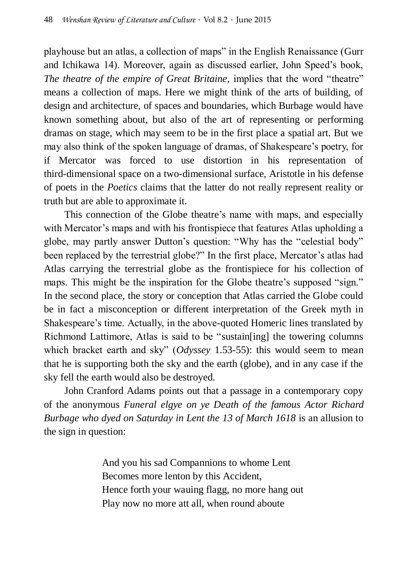playhouse but an atlas, a collection of maps" in the English Renaissance (Gurr and Ichikawa 14). Moreover, again as discussed earlier, John Speed's book, *The theatre of the empire of Great Britaine, implies that the word "theatre"* means a collection of maps. Here we might think of the arts of building, of design and architecture, of spaces and boundaries, which Burbage would have known something about, but also of the art of representing or performing dramas on stage, which may seem to be in the first place a spatial art. But we may also think of the spoken language of dramas, of Shakespeare's poetry, for if Mercator was forced to use distortion in his representation of third-dimensional space on a two-dimensional surface, Aristotle in his defense of poets in the *Poetics* claims that the latter do not really represent reality or truth but are able to approximate it.

This connection of the Globe theatre's name with maps, and especially with Mercator's maps and with his frontispiece that features Atlas upholding a globe, may partly answer Dutton's question: "Why has the "celestial body" been replaced by the terrestrial globe?" In the first place, Mercator's atlas had Atlas carrying the terrestrial globe as the frontispiece for his collection of maps. This might be the inspiration for the Globe theatre's supposed "sign." In the second place, the story or conception that Atlas carried the Globe could be in fact a misconception or different interpretation of the Greek myth in Shakespeare's time. Actually, in the above-quoted Homeric lines translated by Richmond Lattimore, Atlas is said to be "sustain[ing] the towering columns which bracket earth and sky" (*Odyssey* 1.53-55): this would seem to mean that he is supporting both the sky and the earth (globe), and in any case if the sky fell the earth would also be destroyed.

John Cranford Adams points out that a passage in a contemporary copy of the anonymous *Funeral elgye on ye Death of the famous Actor Richard Burbage who dyed on Saturday in Lent the 13 of March 1618* is an allusion to the sign in question:

> And you his sad Compannions to whome Lent Becomes more lenton by this Accident, Hence forth your wauing flagg, no more hang out Play now no more att all, when round aboute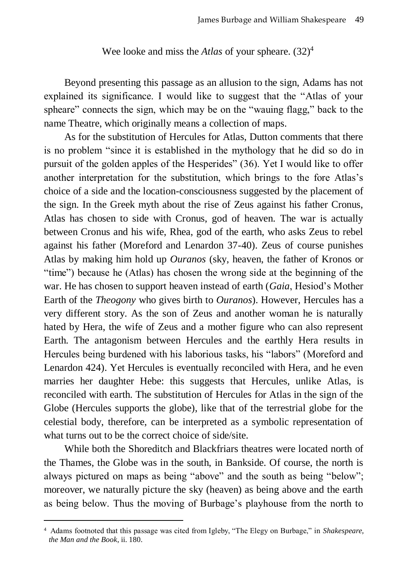Wee looke and miss the *Atlas* of your spheare.  $(32)^4$ 

Beyond presenting this passage as an allusion to the sign, Adams has not explained its significance. I would like to suggest that the "Atlas of your spheare" connects the sign, which may be on the "wauing flagg," back to the name Theatre, which originally means a collection of maps.

As for the substitution of Hercules for Atlas, Dutton comments that there is no problem "since it is established in the mythology that he did so do in pursuit of the golden apples of the Hesperides" (36). Yet I would like to offer another interpretation for the substitution, which brings to the fore Atlas's choice of a side and the location-consciousness suggested by the placement of the sign. In the Greek myth about the rise of Zeus against his father Cronus, Atlas has chosen to side with Cronus, god of heaven. The war is actually between Cronus and his wife, Rhea, god of the earth, who asks Zeus to rebel against his father (Moreford and Lenardon 37-40). Zeus of course punishes Atlas by making him hold up *Ouranos* (sky, heaven, the father of Kronos or "time") because he (Atlas) has chosen the wrong side at the beginning of the war. He has chosen to support heaven instead of earth (*Gaia*, Hesiod's Mother Earth of the *Theogony* who gives birth to *Ouranos*). However, Hercules has a very different story. As the son of Zeus and another woman he is naturally hated by Hera, the wife of Zeus and a mother figure who can also represent Earth. The antagonism between Hercules and the earthly Hera results in Hercules being burdened with his laborious tasks, his "labors" (Moreford and Lenardon 424). Yet Hercules is eventually reconciled with Hera, and he even marries her daughter Hebe: this suggests that Hercules, unlike Atlas, is reconciled with earth. The substitution of Hercules for Atlas in the sign of the Globe (Hercules supports the globe), like that of the terrestrial globe for the celestial body, therefore, can be interpreted as a symbolic representation of what turns out to be the correct choice of side/site.

While both the Shoreditch and Blackfriars theatres were located north of the Thames, the Globe was in the south, in Bankside. Of course, the north is always pictured on maps as being "above" and the south as being "below"; moreover, we naturally picture the sky (heaven) as being above and the earth as being below. Thus the moving of Burbage's playhouse from the north to

-

<sup>4</sup> Adams footnoted that this passage was cited from Igleby, "The Elegy on Burbage," in *Shakespeare, the Man and the Book*, ii. 180.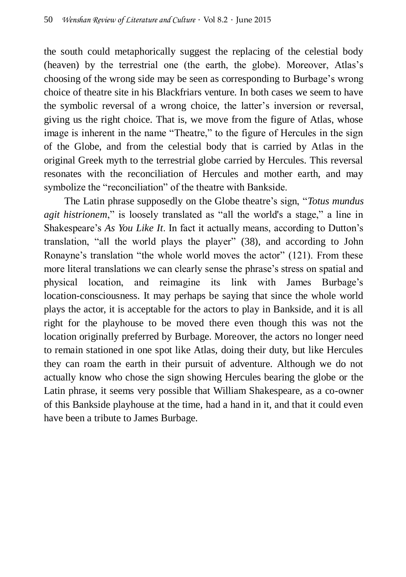the south could metaphorically suggest the replacing of the celestial body (heaven) by the terrestrial one (the earth, the globe). Moreover, Atlas's choosing of the wrong side may be seen as corresponding to Burbage's wrong choice of theatre site in his Blackfriars venture. In both cases we seem to have the symbolic reversal of a wrong choice, the latter's inversion or reversal, giving us the right choice. That is, we move from the figure of Atlas, whose image is inherent in the name "Theatre," to the figure of Hercules in the sign of the Globe, and from the celestial body that is carried by Atlas in the original Greek myth to the terrestrial globe carried by Hercules. This reversal resonates with the reconciliation of Hercules and mother earth, and may symbolize the "reconciliation" of the theatre with Bankside.

The Latin phrase supposedly on the Globe theatre's sign, "*Totus mundus agit histrionem*," is loosely translated as "all the world's a stage," a line in Shakespeare's *As You Like It*. In fact it actually means, according to Dutton's translation, "all the world plays the player" (38), and according to John Ronayne's translation "the whole world moves the actor" (121). From these more literal translations we can clearly sense the phrase's stress on spatial and physical location, and reimagine its link with James Burbage's location-consciousness. It may perhaps be saying that since the whole world plays the actor, it is acceptable for the actors to play in Bankside, and it is all right for the playhouse to be moved there even though this was not the location originally preferred by Burbage. Moreover, the actors no longer need to remain stationed in one spot like Atlas, doing their duty, but like Hercules they can roam the earth in their pursuit of adventure. Although we do not actually know who chose the sign showing Hercules bearing the globe or the Latin phrase, it seems very possible that William Shakespeare, as a co-owner of this Bankside playhouse at the time, had a hand in it, and that it could even have been a tribute to James Burbage.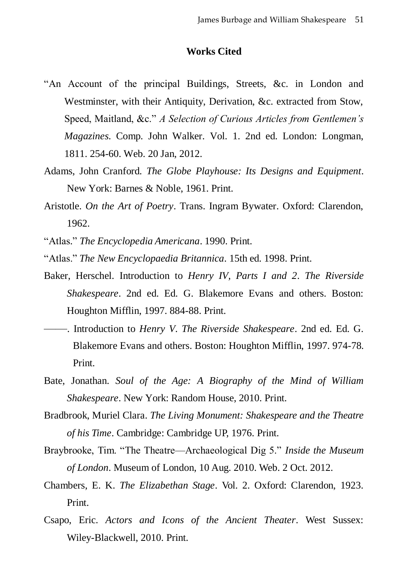## **Works Cited**

- "An Account of the principal Buildings, Streets, &c. in London and Westminster, with their Antiquity, Derivation, &c. extracted from Stow, Speed, Maitland, &c." *A Selection of Curious Articles from Gentlemen's Magazines*. Comp. John Walker. Vol. 1. 2nd ed. London: Longman, 1811. 254-60. Web. 20 Jan, 2012.
- Adams, John Cranford. *The Globe Playhouse: Its Designs and Equipment*. New York: Barnes & Noble, 1961. Print.
- Aristotle. *On the Art of Poetry*. Trans. Ingram Bywater. Oxford: Clarendon, 1962.
- "Atlas." *The Encyclopedia Americana*. 1990. Print.
- "Atlas." *The New Encyclopaedia Britannica*. 15th ed. 1998. Print.
- Baker, Herschel. Introduction to *Henry IV, Parts I and 2*. *The Riverside Shakespeare*. 2nd ed. Ed. G. Blakemore Evans and others. Boston: Houghton Mifflin, 1997. 884-88. Print.
- ——. Introduction to *Henry V*. *The Riverside Shakespeare*. 2nd ed. Ed. G. Blakemore Evans and others. Boston: Houghton Mifflin, 1997. 974-78. Print.
- Bate, Jonathan. *Soul of the Age: A Biography of the Mind of William Shakespeare*. New York: Random House, 2010. Print.
- Bradbrook, Muriel Clara. *The Living Monument: Shakespeare and the Theatre of his Time*. Cambridge: Cambridge UP, 1976. Print.
- Braybrooke, Tim. "The Theatre—Archaeological Dig 5." *Inside the Museum of London*. Museum of London, 10 Aug. 2010. Web. 2 Oct. 2012.
- Chambers, E. K. *The Elizabethan Stage*. Vol. 2. Oxford: Clarendon, 1923. Print.
- Csapo, Eric. *Actors and Icons of the Ancient Theater*. West Sussex: Wiley-Blackwell, 2010. Print.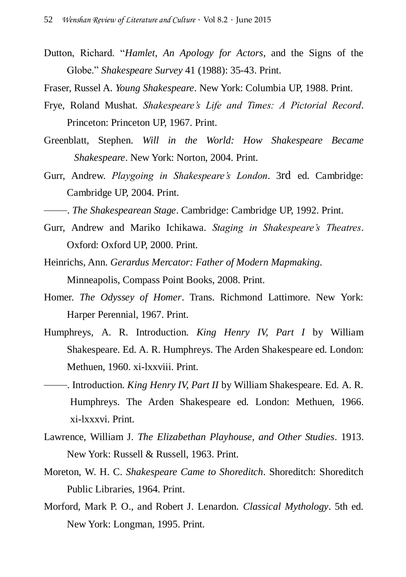Dutton, Richard. "*Hamlet*, *An Apology for Actors*, and the Signs of the Globe." *Shakespeare Survey* 41 (1988): 35-43. Print.

Fraser, Russel A. *Young Shakespeare*. New York: Columbia UP, 1988. Print.

- Frye, Roland Mushat. *Shakespeare's Life and Times: A Pictorial Record*. Princeton: Princeton UP, 1967. Print.
- Greenblatt, Stephen. *Will in the World: How Shakespeare Became Shakespeare*. New York: Norton, 2004. Print.
- Gurr, Andrew. *Playgoing in Shakespeare's London*. 3rd ed. Cambridge: Cambridge UP, 2004. Print.
- ——. *The Shakespearean Stage*. Cambridge: Cambridge UP, 1992. Print.
- Gurr, Andrew and Mariko Ichikawa. *Staging in Shakespeare's Theatres*. Oxford: Oxford UP, 2000. Print.
- Heinrichs, Ann. *Gerardus Mercator: Father of Modern Mapmaking*. Minneapolis, Compass Point Books, 2008. Print.
- Homer. *The Odyssey of Homer*. Trans. Richmond Lattimore. New York: Harper Perennial, 1967. Print.
- Humphreys, A. R. Introduction. *King Henry IV, Part I* by William Shakespeare. Ed. A. R. Humphreys. The Arden Shakespeare ed. London: Methuen, 1960. xi-lxxviii. Print.
- ——. Introduction. *King Henry IV, Part II* by William Shakespeare. Ed. A. R. Humphreys. The Arden Shakespeare ed. London: Methuen, 1966. xi-lxxxvi. Print.
- Lawrence, William J. *The Elizabethan Playhouse, and Other Studies*. 1913. New York: Russell & Russell, 1963. Print.
- Moreton, W. H. C. *Shakespeare Came to Shoreditch*. Shoreditch: Shoreditch Public Libraries, 1964. Print.
- Morford, Mark P. O., and Robert J. Lenardon. *Classical Mythology*. 5th ed. New York: Longman, 1995. Print.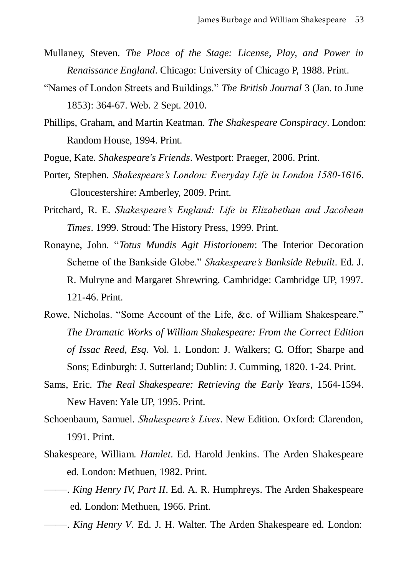- Mullaney, Steven. *The Place of the Stage: License, Play, and Power in Renaissance England*. Chicago: University of Chicago P, 1988. Print.
- "Names of London Streets and Buildings." *The British Journal* 3 (Jan. to June 1853): 364-67. Web. 2 Sept. 2010.
- Phillips, Graham, and Martin Keatman. *The Shakespeare Conspiracy*. London: Random House, 1994. Print.
- Pogue, Kate. *Shakespeare's Friends*. Westport: Praeger, 2006. Print.
- Porter, Stephen. *Shakespeare's London: Everyday Life in London 1580-1616*. Gloucestershire: Amberley, 2009. Print.
- Pritchard, R. E. *Shakespeare's England: Life in Elizabethan and Jacobean Times*. 1999. Stroud: The History Press, 1999. Print.
- Ronayne, John. "*Totus Mundis Agit Historionem*: The Interior Decoration Scheme of the Bankside Globe." *Shakespeare's Bankside Rebuilt*. Ed. J. R. Mulryne and Margaret Shrewring. Cambridge: Cambridge UP, 1997. 121-46. Print.
- Rowe, Nicholas. "Some Account of the Life, &c. of William Shakespeare." *The Dramatic Works of William Shakespeare: From the Correct Edition of Issac Reed, Esq.* Vol. 1. London: J. Walkers; G. Offor; Sharpe and Sons; Edinburgh: J. Sutterland; Dublin: J. Cumming, 1820. 1-24. Print.
- Sams, Eric. *The Real Shakespeare: Retrieving the Early Years*, 1564-1594. New Haven: Yale UP, 1995. Print.
- Schoenbaum, Samuel. *Shakespeare's Lives*. New Edition. Oxford: Clarendon, 1991. Print.
- Shakespeare, William. *Hamlet*. Ed. Harold Jenkins. The Arden Shakespeare ed. London: Methuen, 1982. Print.
- ——. *King Henry IV, Part II*. Ed. A. R. Humphreys. The Arden Shakespeare ed. London: Methuen, 1966. Print.
- ——. *King Henry V*. Ed. J. H. Walter. The Arden Shakespeare ed. London: